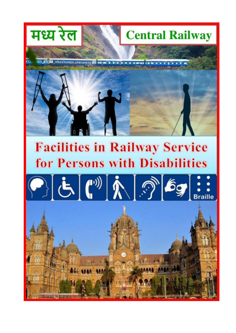

# **Facilities in Railway Service** for Persons with Disabilities

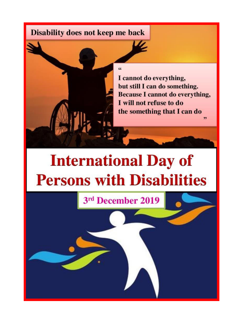#### Disability does not keep me back



**International Day of Persons with Disabilities** 

3rd December 2019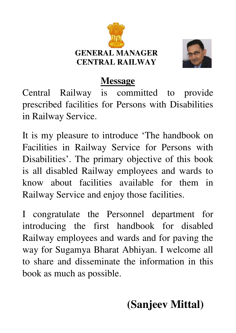



#### **Message**

Central Railway is committed to provide prescribed facilities for Persons with Disabilities in Railway Service.

It is my pleasure to introduce 'The handbook on Facilities in Railway Service for Persons with Disabilities'. The primary objective of this book is all disabled Railway employees and wards to know about facilities available for them in Railway Service and enjoy those facilities.

I congratulate the Personnel department for introducing the first handbook for disabled Railway employees and wards and for paving the way for Sugamya Bharat Abhiyan. I welcome all to share and disseminate the information in this book as much as possible.

## **(Sanjeev Mittal)**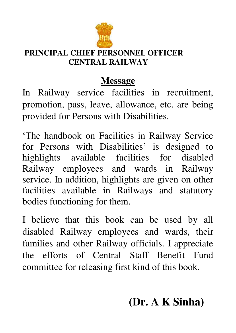

#### **PRINCIPAL CHIEF PERSONNEL OFFICER CENTRAL RAILWAY**

#### **Message**

In Railway service facilities in recruitment, promotion, pass, leave, allowance, etc. are being provided for Persons with Disabilities.

'The handbook on Facilities in Railway Service for Persons with Disabilities' is designed to highlights available facilities for disabled Railway employees and wards in Railway service. In addition, highlights are given on other facilities available in Railways and statutory bodies functioning for them.

I believe that this book can be used by all disabled Railway employees and wards, their families and other Railway officials. I appreciate the efforts of Central Staff Benefit Fund committee for releasing first kind of this book.

## **(Dr. A K Sinha)**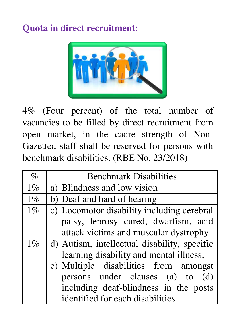#### **Quota in direct recruitment:**



4% (Four percent) of the total number of vacancies to be filled by direct recruitment from open market, in the cadre strength of Non-Gazetted staff shall be reserved for persons with benchmark disabilities. (RBE No. 23/2018)

| $\%$  | <b>Benchmark Disabilities</b>                |  |  |
|-------|----------------------------------------------|--|--|
| $1\%$ | a) Blindness and low vision                  |  |  |
| $1\%$ | b) Deaf and hard of hearing                  |  |  |
| $1\%$ | c) Locomotor disability including cerebral   |  |  |
|       | palsy, leprosy cured, dwarfism, acid         |  |  |
|       | attack victims and muscular dystrophy        |  |  |
| $1\%$ | d) Autism, intellectual disability, specific |  |  |
|       | learning disability and mental illness;      |  |  |
|       | e) Multiple disabilities from amongst        |  |  |
|       | persons under clauses (a) to (d)             |  |  |
|       | including deaf-blindness in the posts        |  |  |
|       | identified for each disabilities             |  |  |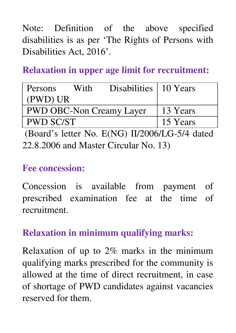Note: Definition of the above specified disabilities is as per 'The Rights of Persons with Disabilities Act, 2016'.

#### **Relaxation in upper age limit for recruitment:**

| Persons                         | With     | Disabilities   10 Years |  |
|---------------------------------|----------|-------------------------|--|
| (PWD) UR                        |          |                         |  |
| <b>PWD OBC-Non Creamy Layer</b> | 13 Years |                         |  |
| <b>PWD SC/ST</b>                | 15 Years |                         |  |

 (Board's letter No. E(NG) II/2006/LG-5/4 dated 22.8.2006 and Master Circular No. 13)

#### **Fee concession:**

Concession is available from payment of prescribed examination fee at the time of recruitment.

#### **Relaxation in minimum qualifying marks:**

Relaxation of up to 2% marks in the minimum qualifying marks prescribed for the community is allowed at the time of direct recruitment, in case of shortage of PWD candidates against vacancies reserved for them.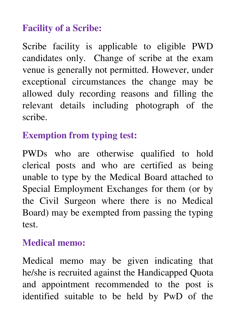#### **Facility of a Scribe:**

Scribe facility is applicable to eligible PWD candidates only. Change of scribe at the exam venue is generally not permitted. However, under exceptional circumstances the change may be allowed duly recording reasons and filling the relevant details including photograph of the scribe.

#### **Exemption from typing test:**

PWDs who are otherwise qualified to hold clerical posts and who are certified as being unable to type by the Medical Board attached to Special Employment Exchanges for them (or by the Civil Surgeon where there is no Medical Board) may be exempted from passing the typing test.

#### **Medical memo:**

Medical memo may be given indicating that he/she is recruited against the Handicapped Quota and appointment recommended to the post is identified suitable to be held by PwD of the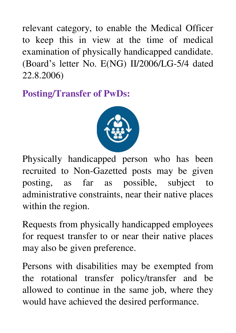relevant category, to enable the Medical Officer to keep this in view at the time of medical examination of physically handicapped candidate. (Board's letter No. E(NG) II/2006/LG-5/4 dated 22.8.2006)

**Posting/Transfer of PwDs:** 



Physically handicapped person who has been recruited to Non-Gazetted posts may be given posting, as far as possible, subject to administrative constraints, near their native places within the region.

Requests from physically handicapped employees for request transfer to or near their native places may also be given preference.

Persons with disabilities may be exempted from the rotational transfer policy/transfer and be allowed to continue in the same job, where they would have achieved the desired performance.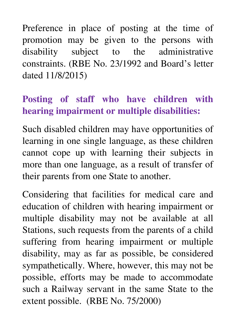Preference in place of posting at the time of promotion may be given to the persons with disability subject to the administrative constraints. (RBE No. 23/1992 and Board's letter dated 11/8/2015)

#### **Posting of staff who have children with hearing impairment or multiple disabilities:**

Such disabled children may have opportunities of learning in one single language, as these children cannot cope up with learning their subjects in more than one language, as a result of transfer of their parents from one State to another.

Considering that facilities for medical care and education of children with hearing impairment or multiple disability may not be available at all Stations, such requests from the parents of a child suffering from hearing impairment or multiple disability, may as far as possible, be considered sympathetically. Where, however, this may not be possible, efforts may be made to accommodate such a Railway servant in the same State to the extent possible. (RBE No. 75/2000)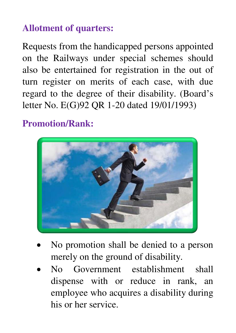#### **Allotment of quarters:**

Requests from the handicapped persons appointed on the Railways under special schemes should also be entertained for registration in the out of turn register on merits of each case, with due regard to the degree of their disability. (Board's letter No. E(G)92 QR 1-20 dated 19/01/1993)

#### **Promotion/Rank:**



- No promotion shall be denied to a person merely on the ground of disability.
- No Government establishment shall dispense with or reduce in rank, an employee who acquires a disability during his or her service.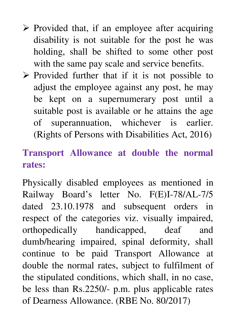- $\triangleright$  Provided that, if an employee after acquiring disability is not suitable for the post he was holding, shall be shifted to some other post with the same pay scale and service benefits.
- $\triangleright$  Provided further that if it is not possible to adjust the employee against any post, he may be kept on a supernumerary post until a suitable post is available or he attains the age of superannuation, whichever is earlier. (Rights of Persons with Disabilities Act, 2016)

#### **Transport Allowance at double the normal rates:**

Physically disabled employees as mentioned in Railway Board's letter No. F(E)I-78/AL-7/5 dated 23.10.1978 and subsequent orders in respect of the categories viz. visually impaired, orthopedically handicapped, deaf and dumb/hearing impaired, spinal deformity, shall continue to be paid Transport Allowance at double the normal rates, subject to fulfilment of the stipulated conditions, which shall, in no case, be less than Rs.2250/- p.m. plus applicable rates of Dearness Allowance. (RBE No. 80/2017)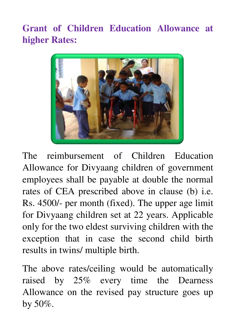**Grant of Children Education Allowance at higher Rates:**



The reimbursement of Children Education Allowance for Divyaang children of government employees shall be payable at double the normal rates of CEA prescribed above in clause (b) i.e. Rs. 4500/- per month (fixed). The upper age limit for Divyaang children set at 22 years. Applicable only for the two eldest surviving children with the exception that in case the second child birth results in twins/ multiple birth.

The above rates/ceiling would be automatically raised by 25% every time the Dearness Allowance on the revised pay structure goes up by 50%.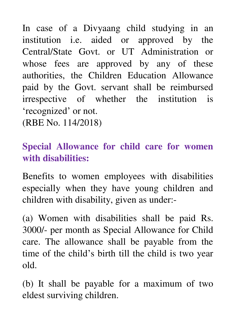In case of a Divyaang child studying in an institution i.e. aided or approved by the Central/State Govt. or UT Administration or whose fees are approved by any of these authorities, the Children Education Allowance paid by the Govt. servant shall be reimbursed irrespective of whether the institution is 'recognized' or not. (RBE No. 114/2018)

### **Special Allowance for child care for women with disabilities:**

Benefits to women employees with disabilities especially when they have young children and children with disability, given as under:-

(a) Women with disabilities shall be paid Rs. 3000/- per month as Special Allowance for Child care. The allowance shall be payable from the time of the child's birth till the child is two year old.

(b) It shall be payable for a maximum of two eldest surviving children.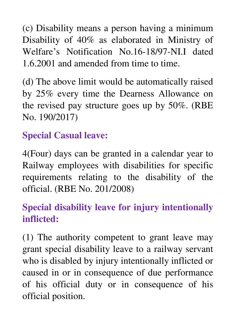(c) Disability means a person having a minimum Disability of 40% as elaborated in Ministry of Welfare's Notification No.16-18/97-NI.I dated 1.6.2001 and amended from time to time.

(d) The above limit would be automatically raised by 25% every time the Dearness Allowance on the revised pay structure goes up by 50%. (RBE No. 190/2017)

#### **Special Casual leave:**

4(Four) days can be granted in a calendar year to Railway employees with disabilities for specific requirements relating to the disability of the official. (RBE No. 201/2008)

### **Special disability leave for injury intentionally inflicted:**

(1) The authority competent to grant leave may grant special disability leave to a railway servant who is disabled by injury intentionally inflicted or caused in or in consequence of due performance of his official duty or in consequence of his official position.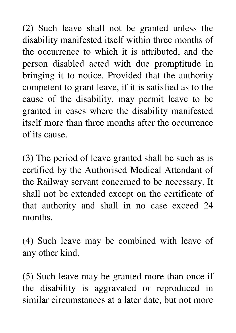(2) Such leave shall not be granted unless the disability manifested itself within three months of the occurrence to which it is attributed, and the person disabled acted with due promptitude in bringing it to notice. Provided that the authority competent to grant leave, if it is satisfied as to the cause of the disability, may permit leave to be granted in cases where the disability manifested itself more than three months after the occurrence of its cause.

(3) The period of leave granted shall be such as is certified by the Authorised Medical Attendant of the Railway servant concerned to be necessary. It shall not be extended except on the certificate of that authority and shall in no case exceed 24 months.

(4) Such leave may be combined with leave of any other kind.

(5) Such leave may be granted more than once if the disability is aggravated or reproduced in similar circumstances at a later date, but not more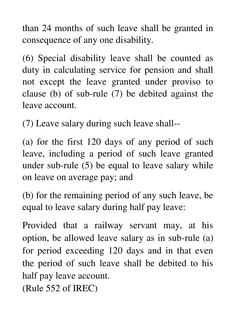than 24 months of such leave shall be granted in consequence of any one disability.

(6) Special disability leave shall be counted as duty in calculating service for pension and shall not except the leave granted under proviso to clause (b) of sub-rule (7) be debited against the leave account.

(7) Leave salary during such leave shall--

(a) for the first 120 days of any period of such leave, including a period of such leave granted under sub-rule (5) be equal to leave salary while on leave on average pay; and

(b) for the remaining period of any such leave, be equal to leave salary during half pay leave:

Provided that a railway servant may, at his option, be allowed leave salary as in sub-rule (a) for period exceeding 120 days and in that even the period of such leave shall be debited to his half pay leave account.

(Rule 552 of IREC)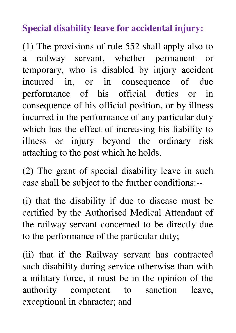#### **Special disability leave for accidental injury:**

(1) The provisions of rule 552 shall apply also to a railway servant, whether permanent or temporary, who is disabled by injury accident incurred in, or in consequence of due performance of his official duties or in consequence of his official position, or by illness incurred in the performance of any particular duty which has the effect of increasing his liability to illness or injury beyond the ordinary risk attaching to the post which he holds.

(2) The grant of special disability leave in such case shall be subject to the further conditions:--

(i) that the disability if due to disease must be certified by the Authorised Medical Attendant of the railway servant concerned to be directly due to the performance of the particular duty;

(ii) that if the Railway servant has contracted such disability during service otherwise than with a military force, it must be in the opinion of the authority competent to sanction leave, exceptional in character; and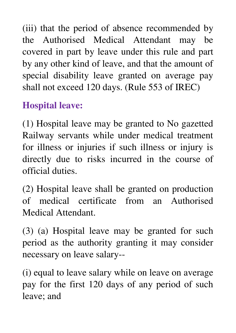(iii) that the period of absence recommended by the Authorised Medical Attendant may be covered in part by leave under this rule and part by any other kind of leave, and that the amount of special disability leave granted on average pay shall not exceed 120 days. (Rule 553 of IREC)

#### **Hospital leave:**

(1) Hospital leave may be granted to No gazetted Railway servants while under medical treatment for illness or injuries if such illness or injury is directly due to risks incurred in the course of official duties.

(2) Hospital leave shall be granted on production of medical certificate from an Authorised Medical Attendant.

(3) (a) Hospital leave may be granted for such period as the authority granting it may consider necessary on leave salary--

(i) equal to leave salary while on leave on average pay for the first 120 days of any period of such leave; and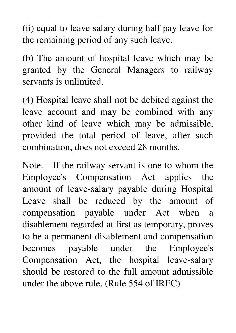(ii) equal to leave salary during half pay leave for the remaining period of any such leave.

(b) The amount of hospital leave which may be granted by the General Managers to railway servants is unlimited.

(4) Hospital leave shall not be debited against the leave account and may be combined with any other kind of leave which may be admissible, provided the total period of leave, after such combination, does not exceed 28 months.

Note.—If the railway servant is one to whom the Employee's Compensation Act applies the amount of leave-salary payable during Hospital Leave shall be reduced by the amount of compensation payable under Act when a disablement regarded at first as temporary, proves to be a permanent disablement and compensation becomes payable under the Employee's Compensation Act, the hospital leave-salary should be restored to the full amount admissible under the above rule. (Rule 554 of IREC)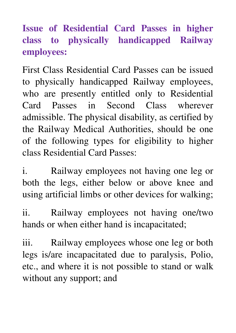**Issue of Residential Card Passes in higher class to physically handicapped Railway employees:** 

First Class Residential Card Passes can be issued to physically handicapped Railway employees, who are presently entitled only to Residential Card Passes in Second Class wherever admissible. The physical disability, as certified by the Railway Medical Authorities, should be one of the following types for eligibility to higher class Residential Card Passes:

i. Railway employees not having one leg or both the legs, either below or above knee and using artificial limbs or other devices for walking;

ii. Railway employees not having one/two hands or when either hand is incapacitated;

iii. Railway employees whose one leg or both legs is/are incapacitated due to paralysis, Polio, etc., and where it is not possible to stand or walk without any support; and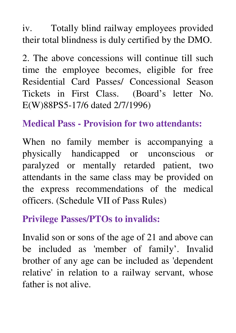iv. Totally blind railway employees provided their total blindness is duly certified by the DMO.

2. The above concessions will continue till such time the employee becomes, eligible for free Residential Card Passes/ Concessional Season Tickets in First Class. (Board's letter No. E(W)88PS5-17/6 dated 2/7/1996)

#### **Medical Pass - Provision for two attendants:**

When no family member is accompanying a physically handicapped or unconscious or paralyzed or mentally retarded patient, two attendants in the same class may be provided on the express recommendations of the medical officers. (Schedule VII of Pass Rules)

#### **Privilege Passes/PTOs to invalids:**

Invalid son or sons of the age of 21 and above can be included as 'member of family'. Invalid brother of any age can be included as 'dependent relative' in relation to a railway servant, whose father is not alive.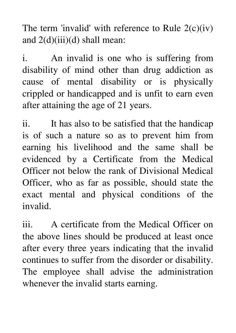The term 'invalid' with reference to Rule  $2(c)(iv)$ and  $2(d)(iii)(d)$  shall mean:

i. An invalid is one who is suffering from disability of mind other than drug addiction as cause of mental disability or is physically crippled or handicapped and is unfit to earn even after attaining the age of 21 years.

ii. It has also to be satisfied that the handicap is of such a nature so as to prevent him from earning his livelihood and the same shall be evidenced by a Certificate from the Medical Officer not below the rank of Divisional Medical Officer, who as far as possible, should state the exact mental and physical conditions of the invalid.

iii. A certificate from the Medical Officer on the above lines should be produced at least once after every three years indicating that the invalid continues to suffer from the disorder or disability. The employee shall advise the administration whenever the invalid starts earning.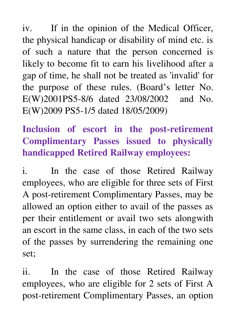iv. If in the opinion of the Medical Officer, the physical handicap or disability of mind etc. is of such a nature that the person concerned is likely to become fit to earn his livelihood after a gap of time, he shall not be treated as 'invalid' for the purpose of these rules. (Board's letter No. E(W)2001PS5-8/6 dated 23/08/2002 and No. E(W)2009 PS5-1/5 dated 18/05/2009)

### **Inclusion of escort in the post-retirement Complimentary Passes issued to physically handicapped Retired Railway employees:**

i. In the case of those Retired Railway employees, who are eligible for three sets of First A post-retirement Complimentary Passes, may be allowed an option either to avail of the passes as per their entitlement or avail two sets alongwith an escort in the same class, in each of the two sets of the passes by surrendering the remaining one set;

ii. In the case of those Retired Railway employees, who are eligible for 2 sets of First A post-retirement Complimentary Passes, an option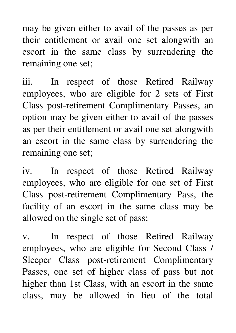may be given either to avail of the passes as per their entitlement or avail one set alongwith an escort in the same class by surrendering the remaining one set;

iii. In respect of those Retired Railway employees, who are eligible for 2 sets of First Class post-retirement Complimentary Passes, an option may be given either to avail of the passes as per their entitlement or avail one set alongwith an escort in the same class by surrendering the remaining one set;

iv. In respect of those Retired Railway employees, who are eligible for one set of First Class post-retirement Complimentary Pass, the facility of an escort in the same class may be allowed on the single set of pass;

v. In respect of those Retired Railway employees, who are eligible for Second Class / Sleeper Class post-retirement Complimentary Passes, one set of higher class of pass but not higher than 1st Class, with an escort in the same class, may be allowed in lieu of the total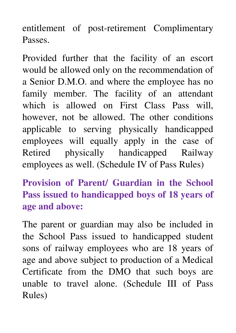entitlement of post-retirement Complimentary Passes.

Provided further that the facility of an escort would be allowed only on the recommendation of a Senior D.M.O. and where the employee has no family member. The facility of an attendant which is allowed on First Class Pass will, however, not be allowed. The other conditions applicable to serving physically handicapped employees will equally apply in the case of Retired physically handicapped Railway employees as well. (Schedule IV of Pass Rules)

**Provision of Parent/ Guardian in the School Pass issued to handicapped boys of 18 years of age and above:** 

The parent or guardian may also be included in the School Pass issued to handicapped student sons of railway employees who are 18 years of age and above subject to production of a Medical Certificate from the DMO that such boys are unable to travel alone. (Schedule III of Pass Rules)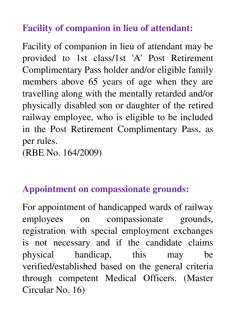#### **Facility of companion in lieu of attendant:**

Facility of companion in lieu of attendant may be provided to 1st class/1st 'A' Post Retirement Complimentary Pass holder and/or eligible family members above 65 years of age when they are travelling along with the mentally retarded and/or physically disabled son or daughter of the retired railway employee, who is eligible to be included in the Post Retirement Complimentary Pass, as per rules.

(RBE No. 164/2009)

#### **Appointment on compassionate grounds:**

For appointment of handicapped wards of railway employees on compassionate grounds, registration with special employment exchanges is not necessary and if the candidate claims physical handicap, this may be verified/established based on the general criteria through competent Medical Officers. (Master Circular No. 16)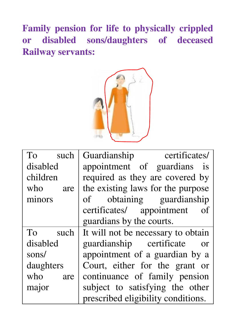**Family pension for life to physically crippled or disabled sons/daughters of deceased Railway servants:** 



| To<br>such | Guardianship certificates/         |
|------------|------------------------------------|
| disabled   | appointment of guardians is        |
| children   | required as they are covered by    |
| who<br>are | the existing laws for the purpose  |
| minors     | obtaining guardianship<br>of       |
|            | certificates/ appointment<br>οf    |
|            | guardians by the courts.           |
| To<br>such | It will not be necessary to obtain |
| disabled   | guardianship certificate<br>or     |
| sons/      | appointment of a guardian by a     |
| daughters  | Court, either for the grant or     |
| who<br>are | continuance of family pension      |
| major      | subject to satisfying the other    |
|            | prescribed eligibility conditions. |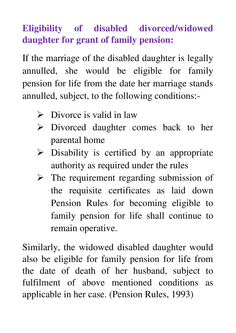#### **Eligibility of disabled divorced/widowed daughter for grant of family pension:**

If the marriage of the disabled daughter is legally annulled, she would be eligible for family pension for life from the date her marriage stands annulled, subject, to the following conditions:-

- $\triangleright$  Divorce is valid in law
- Divorced daughter comes back to her parental home
- $\triangleright$  Disability is certified by an appropriate authority as required under the rules
- $\triangleright$  The requirement regarding submission of the requisite certificates as laid down Pension Rules for becoming eligible to family pension for life shall continue to remain operative.

Similarly, the widowed disabled daughter would also be eligible for family pension for life from the date of death of her husband, subject to fulfilment of above mentioned conditions as applicable in her case. (Pension Rules, 1993)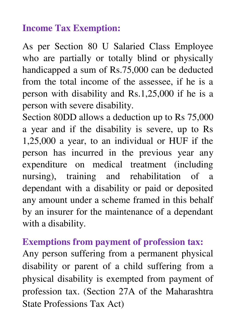#### **Income Tax Exemption:**

As per Section 80 U Salaried Class Employee who are partially or totally blind or physically handicapped a sum of Rs.75,000 can be deducted from the total income of the assessee, if he is a person with disability and Rs.1,25,000 if he is a person with severe disability.

Section 80DD allows a deduction up to Rs 75,000 a year and if the disability is severe, up to Rs 1,25,000 a year, to an individual or HUF if the person has incurred in the previous year any expenditure on medical treatment (including nursing), training and rehabilitation of a dependant with a disability or paid or deposited any amount under a scheme framed in this behalf by an insurer for the maintenance of a dependant with a disability.

#### **Exemptions from payment of profession tax:**

Any person suffering from a permanent physical disability or parent of a child suffering from a physical disability is exempted from payment of profession tax. (Section 27A of the Maharashtra State Professions Tax Act)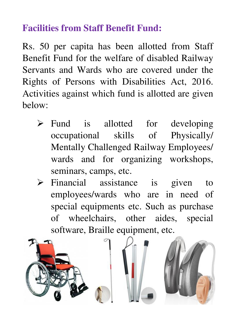#### **Facilities from Staff Benefit Fund:**

Rs. 50 per capita has been allotted from Staff Benefit Fund for the welfare of disabled Railway Servants and Wards who are covered under the Rights of Persons with Disabilities Act, 2016. Activities against which fund is allotted are given below:

- $\triangleright$  Fund is allotted for developing occupational skills of Physically/ Mentally Challenged Railway Employees/ wards and for organizing workshops, seminars, camps, etc.
- $\triangleright$  Financial assistance is given to employees/wards who are in need of special equipments etc. Such as purchase of wheelchairs, other aides, special software, Braille equipment, etc.

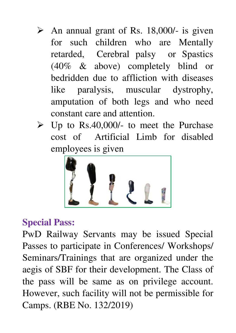- $\triangleright$  An annual grant of Rs. 18,000/- is given for such children who are Mentally retarded, Cerebral palsy or Spastics (40% & above) completely blind or bedridden due to affliction with diseases like paralysis, muscular dystrophy, amputation of both legs and who need constant care and attention.
- $\triangleright$  Up to Rs.40,000/- to meet the Purchase cost of Artificial Limb for disabled employees is given



#### **Special Pass:**

PwD Railway Servants may be issued Special Passes to participate in Conferences/ Workshops/ Seminars/Trainings that are organized under the aegis of SBF for their development. The Class of the pass will be same as on privilege account. However, such facility will not be permissible for Camps. (RBE No. 132/2019)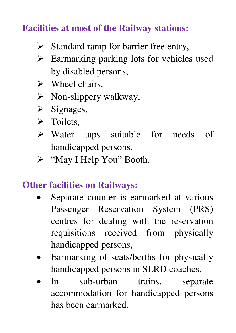#### **Facilities at most of the Railway stations:**

- $\triangleright$  Standard ramp for barrier free entry,
- $\triangleright$  Earmarking parking lots for vehicles used by disabled persons,
- $\triangleright$  Wheel chairs,
- $\triangleright$  Non-slippery walkway,
- $\triangleright$  Signages,
- $\triangleright$  Toilets.
- Water taps suitable for needs of handicapped persons,
- > "May I Help You" Booth.

#### **Other facilities on Railways:**

- Separate counter is earmarked at various Passenger Reservation System (PRS) centres for dealing with the reservation requisitions received from physically handicapped persons,
- Earmarking of seats/berths for physically handicapped persons in SLRD coaches,
- In sub-urban trains, separate accommodation for handicapped persons has been earmarked.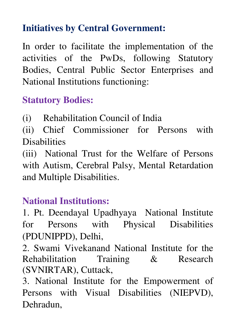#### **Initiatives by Central Government:**

In order to facilitate the implementation of the activities of the PwDs, following Statutory Bodies, Central Public Sector Enterprises and National Institutions functioning:

#### **Statutory Bodies:**

(i) Rehabilitation Council of India

(ii) Chief Commissioner for Persons with **Disabilities** 

(iii) National Trust for the Welfare of Persons with Autism, Cerebral Palsy, Mental Retardation and Multiple Disabilities.

#### **National Institutions:**

1. Pt. Deendayal Upadhyaya National Institute for Persons with Physical Disabilities (PDUNIPPD), Delhi,

2. Swami Vivekanand National Institute for the Rehabilitation Training & Research (SVNIRTAR), Cuttack,

3. National Institute for the Empowerment of Persons with Visual Disabilities (NIEPVD), Dehradun,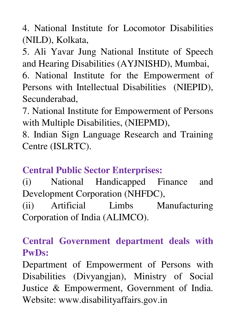4. National Institute for Locomotor Disabilities (NILD), Kolkata,

5. Ali Yavar Jung National Institute of Speech and Hearing Disabilities (AYJNISHD), Mumbai,

6. National Institute for the Empowerment of Persons with Intellectual Disabilities (NIEPID), Secunderabad,

7. National Institute for Empowerment of Persons with Multiple Disabilities, (NIEPMD),

8. Indian Sign Language Research and Training Centre (ISLRTC).

#### **Central Public Sector Enterprises:**

(i) National Handicapped Finance and Development Corporation (NHFDC), (ii) Artificial Limbs Manufacturing Corporation of India (ALIMCO).

#### **Central Government department deals with PwDs:**

Department of Empowerment of Persons with Disabilities (Divyangjan), Ministry of Social Justice & Empowerment, Government of India. Website: www.disabilityaffairs.gov.in